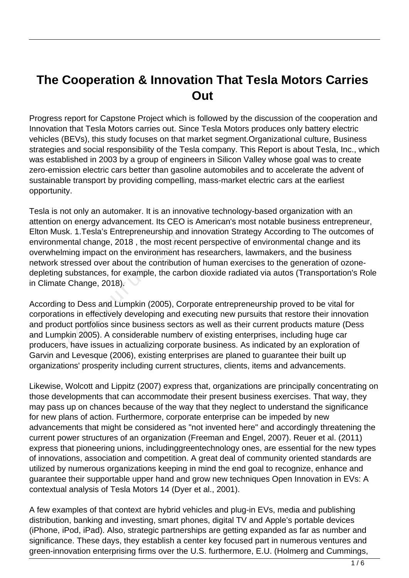# **The Cooperation & Innovation That Tesla Motors Carries Out**

Progress report for Capstone Project which is followed by the discussion of the cooperation and Innovation that Tesla Motors carries out. Since Tesla Motors produces only battery electric vehicles (BEVs), this study focuses on that market segment.Organizational culture, Business strategies and social responsibility of the Tesla company. This Report is about Tesla, Inc., which was established in 2003 by a group of engineers in Silicon Valley whose goal was to create zero-emission electric cars better than gasoline automobiles and to accelerate the advent of sustainable transport by providing compelling, mass-market electric cars at the earliest opportunity.

Tesla is not only an automaker. It is an innovative technology-based organization with an attention on energy advancement. Its CEO is American's most notable business entrepreneur, Elton Musk. 1.Tesla's Entrepreneurship and innovation Strategy According to The outcomes of environmental change, 2018 , the most recent perspective of environmental change and its overwhelming impact on the environment has researchers, lawmakers, and the business network stressed over about the contribution of human exercises to the generation of ozonedepleting substances, for example, the carbon dioxide radiated via autos (Transportation's Role in Climate Change, 2018). K. 1.Tesla's Entrepreneurship and<br>ntal change, 2018, the most rece<br>ing impact on the environment ha<br>ressed over about the contributior<br>substances, for example, the carbo<br>Change, 2018).<br>to Dess and Lumpkin (2005), Cor<br>ns in

According to Dess and Lumpkin (2005), Corporate entrepreneurship proved to be vital for corporations in effectively developing and executing new pursuits that restore their innovation and product portfolios since business sectors as well as their current products mature (Dess and Lumpkin 2005). A considerable numberv of existing enterprises, including huge car producers, have issues in actualizing corporate business. As indicated by an exploration of Garvin and Levesque (2006), existing enterprises are planed to guarantee their built up organizations' prosperity including current structures, clients, items and advancements.

Likewise, Wolcott and Lippitz (2007) express that, organizations are principally concentrating on those developments that can accommodate their present business exercises. That way, they may pass up on chances because of the way that they neglect to understand the significance for new plans of action. Furthermore, corporate enterprise can be impeded by new advancements that might be considered as "not invented here" and accordingly threatening the current power structures of an organization (Freeman and Engel, 2007). Reuer et al. (2011) express that pioneering unions, includinggreentechnology ones, are essential for the new types of innovations, association and competition. A great deal of community oriented standards are utilized by numerous organizations keeping in mind the end goal to recognize, enhance and guarantee their supportable upper hand and grow new techniques Open Innovation in EVs: A contextual analysis of Tesla Motors 14 (Dyer et al., 2001).

A few examples of that context are hybrid vehicles and plug-in EVs, media and publishing distribution, banking and investing, smart phones, digital TV and Apple's portable devices (iPhone, iPod, iPad). Also, strategic partnerships are getting expanded as far as number and significance. These days, they establish a center key focused part in numerous ventures and green-innovation enterprising firms over the U.S. furthermore, E.U. (Holmerg and Cummings,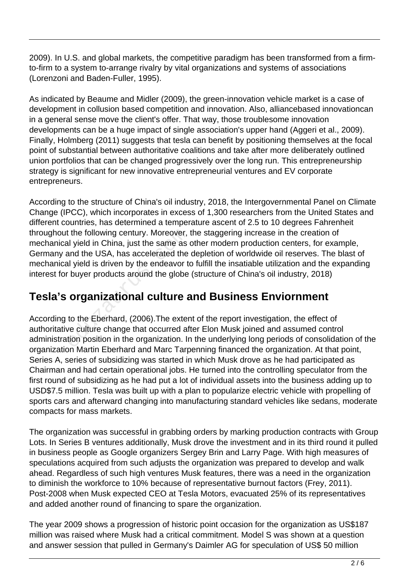2009). In U.S. and global markets, the competitive paradigm has been transformed from a firmto-firm to a system to-arrange rivalry by vital organizations and systems of associations (Lorenzoni and Baden-Fuller, 1995).

As indicated by Beaume and Midler (2009), the green-innovation vehicle market is a case of development in collusion based competition and innovation. Also, alliancebased innovationcan in a general sense move the client's offer. That way, those troublesome innovation developments can be a huge impact of single association's upper hand (Aggeri et al., 2009). Finally, Holmberg (2011) suggests that tesla can benefit by positioning themselves at the focal point of substantial between authoritative coalitions and take after more deliberately outlined union portfolios that can be changed progressively over the long run. This entrepreneurship strategy is significant for new innovative entrepreneurial ventures and EV corporate entrepreneurs.

According to the structure of China's oil industry, 2018, the Intergovernmental Panel on Climate Change (IPCC), which incorporates in excess of 1,300 researchers from the United States and different countries, has determined a temperature ascent of 2.5 to 10 degrees Fahrenheit throughout the following century. Moreover, the staggering increase in the creation of mechanical yield in China, just the same as other modern production centers, for example, Germany and the USA, has accelerated the depletion of worldwide oil reserves. The blast of mechanical yield is driven by the endeavor to fulfill the insatiable utilization and the expanding interest for buyer products around the globe (structure of China's oil industry, 2018) It the following century. Moreover,<br>al yield in China, just the same as<br>and the USA, has accelerated the<br>al yield is driven by the endeavor to<br>buyer products around the globe<br>**organizational culture as**<br>to the Eberhard, (2

### **Tesla's organizational culture and Business Enviornment**

According to the Eberhard, (2006).The extent of the report investigation, the effect of authoritative culture change that occurred after Elon Musk joined and assumed control administration position in the organization. In the underlying long periods of consolidation of the organization Martin Eberhard and Marc Tarpenning financed the organization. At that point, Series A, series of subsidizing was started in which Musk drove as he had participated as Chairman and had certain operational jobs. He turned into the controlling speculator from the first round of subsidizing as he had put a lot of individual assets into the business adding up to USD\$7.5 million. Tesla was built up with a plan to popularize electric vehicle with propelling of sports cars and afterward changing into manufacturing standard vehicles like sedans, moderate compacts for mass markets.

The organization was successful in grabbing orders by marking production contracts with Group Lots. In Series B ventures additionally, Musk drove the investment and in its third round it pulled in business people as Google organizers Sergey Brin and Larry Page. With high measures of speculations acquired from such adjusts the organization was prepared to develop and walk ahead. Regardless of such high ventures Musk features, there was a need in the organization to diminish the workforce to 10% because of representative burnout factors (Frey, 2011). Post-2008 when Musk expected CEO at Tesla Motors, evacuated 25% of its representatives and added another round of financing to spare the organization.

The year 2009 shows a progression of historic point occasion for the organization as US\$187 million was raised where Musk had a critical commitment. Model S was shown at a question and answer session that pulled in Germany's Daimler AG for speculation of US\$ 50 million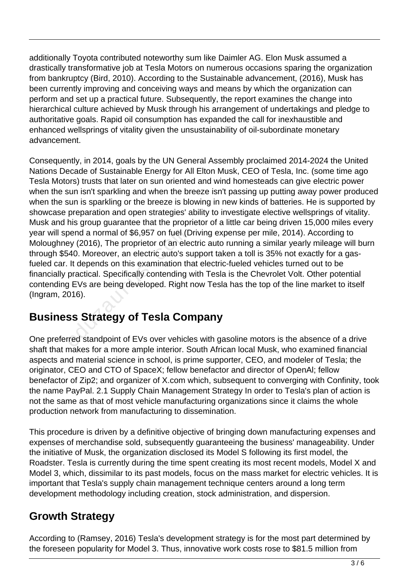additionally Toyota contributed noteworthy sum like Daimler AG. Elon Musk assumed a drastically transformative job at Tesla Motors on numerous occasions sparing the organization from bankruptcy (Bird, 2010). According to the Sustainable advancement, (2016), Musk has been currently improving and conceiving ways and means by which the organization can perform and set up a practical future. Subsequently, the report examines the change into hierarchical culture achieved by Musk through his arrangement of undertakings and pledge to authoritative goals. Rapid oil consumption has expanded the call for inexhaustible and enhanced wellsprings of vitality given the unsustainability of oil-subordinate monetary advancement.

Consequently, in 2014, goals by the UN General Assembly proclaimed 2014-2024 the United Nations Decade of Sustainable Energy for All Elton Musk, CEO of Tesla, Inc. (some time ago Tesla Motors) trusts that later on sun oriented and wind homesteads can give electric power when the sun isn't sparkling and when the breeze isn't passing up putting away power produced when the sun is sparkling or the breeze is blowing in new kinds of batteries. He is supported by showcase preparation and open strategies' ability to investigate elective wellsprings of vitality. Musk and his group guarantee that the proprietor of a little car being driven 15,000 miles every year will spend a normal of \$6,957 on fuel (Driving expense per mile, 2014). According to Moloughney (2016), The proprietor of an electric auto running a similar yearly mileage will burn through \$540. Moreover, an electric auto's support taken a toll is 35% not exactly for a gasfueled car. It depends on this examination that electric-fueled vehicles turned out to be financially practical. Specifically contending with Tesla is the Chevrolet Volt. Other potential contending EVs are being developed. Right now Tesla has the top of the line market to itself (Ingram, 2016). bend a normal of \$6,957 on fuel (I<br>
ey (2016), The proprietor of an election<br>
i40. Moreover, an electric auto's s<br>
It depends on this examination the<br>
practical. Specifically contending<br>
y EVs are being developed. Right<br>
0

### **Business Strategy of Tesla Company**

One preferred standpoint of EVs over vehicles with gasoline motors is the absence of a drive shaft that makes for a more ample interior. South African local Musk, who examined financial aspects and material science in school, is prime supporter, CEO, and modeler of Tesla; the originator, CEO and CTO of SpaceX; fellow benefactor and director of OpenAl; fellow benefactor of Zip2; and organizer of X.com which, subsequent to converging with Confinity, took the name PayPal. 2.1 Supply Chain Management Strategy In order to Tesla's plan of action is not the same as that of most vehicle manufacturing organizations since it claims the whole production network from manufacturing to dissemination.

This procedure is driven by a definitive objective of bringing down manufacturing expenses and expenses of merchandise sold, subsequently guaranteeing the business' manageability. Under the initiative of Musk, the organization disclosed its Model S following its first model, the Roadster. Tesla is currently during the time spent creating its most recent models, Model X and Model 3, which, dissimilar to its past models, focus on the mass market for electric vehicles. It is important that Tesla's supply chain management technique centers around a long term development methodology including creation, stock administration, and dispersion.

### **Growth Strategy**

According to (Ramsey, 2016) Tesla's development strategy is for the most part determined by the foreseen popularity for Model 3. Thus, innovative work costs rose to \$81.5 million from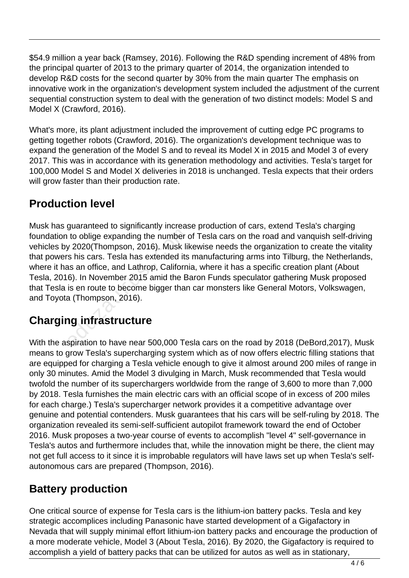\$54.9 million a year back (Ramsey, 2016). Following the R&D spending increment of 48% from the principal quarter of 2013 to the primary quarter of 2014, the organization intended to develop R&D costs for the second quarter by 30% from the main quarter The emphasis on innovative work in the organization's development system included the adjustment of the current sequential construction system to deal with the generation of two distinct models: Model S and Model X (Crawford, 2016).

What's more, its plant adjustment included the improvement of cutting edge PC programs to getting together robots (Crawford, 2016). The organization's development technique was to expand the generation of the Model S and to reveal its Model X in 2015 and Model 3 of every 2017. This was in accordance with its generation methodology and activities. Tesla's target for 100,000 Model S and Model X deliveries in 2018 is unchanged. Tesla expects that their orders will grow faster than their production rate.

## **Production level**

Musk has guaranteed to significantly increase production of cars, extend Tesla's charging foundation to oblige expanding the number of Tesla cars on the road and vanquish self-driving vehicles by 2020(Thompson, 2016). Musk likewise needs the organization to create the vitality that powers his cars. Tesla has extended its manufacturing arms into Tilburg, the Netherlands, where it has an office, and Lathrop, California, where it has a specific creation plant (About Tesla, 2016). In November 2015 amid the Baron Funds speculator gathering Musk proposed that Tesla is en route to become bigger than car monsters like General Motors, Volkswagen, and Toyota (Thompson, 2016). to oblige expanding the number of a 2020 (Thompson, 2016). Musk lift<br>is his cars. Tesla has extended its<br>as an office, and Lathrop, Californi<br>6). In November 2015 amid the Bais en route to become bigger than<br>a (Thompson, 2

### **Charging infrastructure**

With the aspiration to have near 500,000 Tesla cars on the road by 2018 (DeBord,2017), Musk means to grow Tesla's supercharging system which as of now offers electric filling stations that are equipped for charging a Tesla vehicle enough to give it almost around 200 miles of range in only 30 minutes. Amid the Model 3 divulging in March, Musk recommended that Tesla would twofold the number of its superchargers worldwide from the range of 3,600 to more than 7,000 by 2018. Tesla furnishes the main electric cars with an official scope of in excess of 200 miles for each charge.) Tesla's supercharger network provides it a competitive advantage over genuine and potential contenders. Musk guarantees that his cars will be self-ruling by 2018. The organization revealed its semi-self-sufficient autopilot framework toward the end of October 2016. Musk proposes a two-year course of events to accomplish "level 4" self-governance in Tesla's autos and furthermore includes that, while the innovation might be there, the client may not get full access to it since it is improbable regulators will have laws set up when Tesla's selfautonomous cars are prepared (Thompson, 2016).

### **Battery production**

One critical source of expense for Tesla cars is the lithium-ion battery packs. Tesla and key strategic accomplices including Panasonic have started development of a Gigafactory in Nevada that will supply minimal effort lithium-ion battery packs and encourage the production of a more moderate vehicle, Model 3 (About Tesla, 2016). By 2020, the Gigafactory is required to accomplish a yield of battery packs that can be utilized for autos as well as in stationary,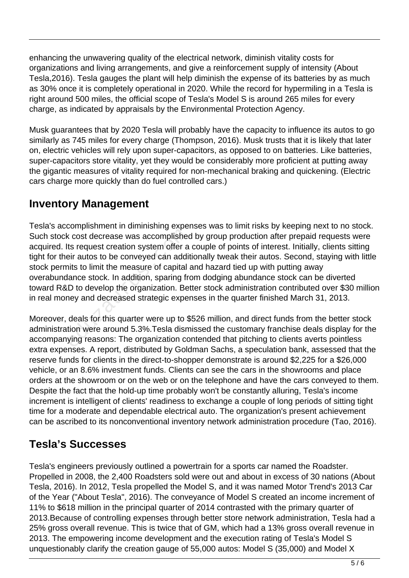enhancing the unwavering quality of the electrical network, diminish vitality costs for organizations and living arrangements, and give a reinforcement supply of intensity (About Tesla,2016). Tesla gauges the plant will help diminish the expense of its batteries by as much as 30% once it is completely operational in 2020. While the record for hypermiling in a Tesla is right around 500 miles, the official scope of Tesla's Model S is around 265 miles for every charge, as indicated by appraisals by the Environmental Protection Agency.

Musk guarantees that by 2020 Tesla will probably have the capacity to influence its autos to go similarly as 745 miles for every charge (Thompson, 2016). Musk trusts that it is likely that later on, electric vehicles will rely upon super-capacitors, as opposed to on batteries. Like batteries, super-capacitors store vitality, yet they would be considerably more proficient at putting away the gigantic measures of vitality required for non-mechanical braking and quickening. (Electric cars charge more quickly than do fuel controlled cars.)

### **Inventory Management**

Tesla's accomplishment in diminishing expenses was to limit risks by keeping next to no stock. Such stock cost decrease was accomplished by group production after prepaid requests were acquired. Its request creation system offer a couple of points of interest. Initially, clients sitting tight for their autos to be conveyed can additionally tweak their autos. Second, staying with little stock permits to limit the measure of capital and hazard tied up with putting away overabundance stock. In addition, sparing from dodging abundance stock can be diverted toward R&D to develop the organization. Better stock administration contributed over \$30 million in real money and decreased strategic expenses in the quarter finished March 31, 2013.  $\kappa$  cost decrease was accomplished<br>ts request creation system offer a<br>eir autos to be conveyed can addit<br>inits to limit the measure of capital<br>lance stock. In addition, sparing fro<br>D to develop the organization. Be<br>ney

Moreover, deals for this quarter were up to \$526 million, and direct funds from the better stock administration were around 5.3%.Tesla dismissed the customary franchise deals display for the accompanying reasons: The organization contended that pitching to clients averts pointless extra expenses. A report, distributed by Goldman Sachs, a speculation bank, assessed that the reserve funds for clients in the direct-to-shopper demonstrate is around \$2,225 for a \$26,000 vehicle, or an 8.6% investment funds. Clients can see the cars in the showrooms and place orders at the showroom or on the web or on the telephone and have the cars conveyed to them. Despite the fact that the hold-up time probably won't be constantly alluring, Tesla's income increment is intelligent of clients' readiness to exchange a couple of long periods of sitting tight time for a moderate and dependable electrical auto. The organization's present achievement can be ascribed to its nonconventional inventory network administration procedure (Tao, 2016).

### **Tesla's Successes**

Tesla's engineers previously outlined a powertrain for a sports car named the Roadster. Propelled in 2008, the 2,400 Roadsters sold were out and about in excess of 30 nations (About Tesla, 2016). In 2012, Tesla propelled the Model S, and it was named Motor Trend's 2013 Car of the Year ("About Tesla", 2016). The conveyance of Model S created an income increment of 11% to \$618 million in the principal quarter of 2014 contrasted with the primary quarter of 2013.Because of controlling expenses through better store network administration, Tesla had a 25% gross overall revenue. This is twice that of GM, which had a 13% gross overall revenue in 2013. The empowering income development and the execution rating of Tesla's Model S unquestionably clarify the creation gauge of 55,000 autos: Model S (35,000) and Model X